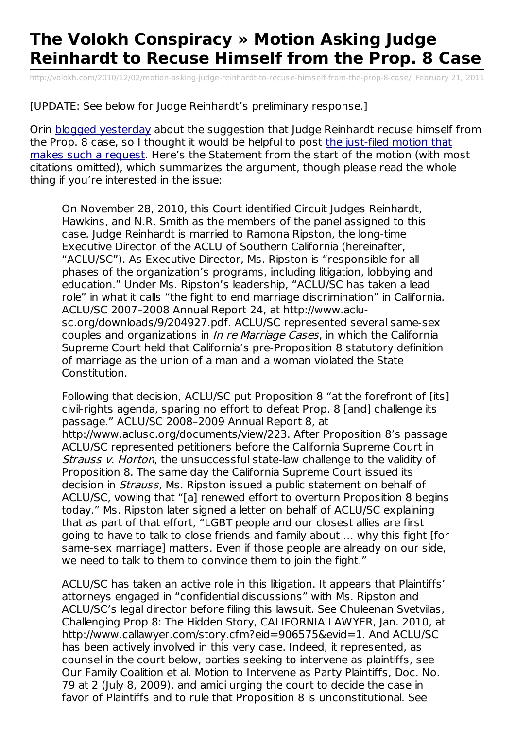## **The Volokh Conspiracy » Motion Asking Judge Reinhardt to Recuse Himself from the Prop. 8 Case**

[http://volokh.com/2010/12/02/motion-asking-judge-reinhardt-to-recuse-himself-from-the-prop-8-case/](http://www.printfriendly.com/print/v2?url=http%3A%2F%2Fvolokh.com%2F2010%2F12%2F02%2Fmotion-asking-judge-reinhardt-to-recuse-himself-from-the-prop-8-case%2F) February 21, 2011

[UPDATE: See below for Judge Reinhardt's preliminary response.]

Orin blogged [yesterday](http://volokh.com/2010/11/30/questioning-judge-reinhardts-impartiality/) about the suggestion that Judge Reinhardt recuse himself from the Prop. 8 case, so I thought it would be helpful to post the just-filed motion that makes such a request. Here's the [Statement](http://cdn.volokh.com/wp/wp-content/uploads/2010/12/prop8motiontodisqualify.pdf) from the start of the motion (with most citations omitted), which summarizes the argument, though please read the whole thing if you're interested in the issue:

On November 28, 2010, this Court identified Circuit Judges Reinhardt, Hawkins, and N.R. Smith as the members of the panel assigned to this case. Judge Reinhardt is married to Ramona Ripston, the long-time Executive Director of the ACLU of Southern California (hereinafter, "ACLU/SC"). As Executive Director, Ms. Ripston is "responsible for all phases of the organization's programs, including litigation, lobbying and education." Under Ms. Ripston's leadership, "ACLU/SC has taken a lead role" in what it calls "the fight to end marriage discrimination" in California. ACLU/SC 2007–2008 Annual Report 24, at http://www.aclusc.org/downloads/9/204927.pdf. ACLU/SC represented several same-sex couples and organizations in *In re Marriage Cases*, in which the California Supreme Court held that California's pre-Proposition 8 statutory definition of marriage as the union of a man and a woman violated the State Constitution.

Following that decision, ACLU/SC put Proposition 8 "at the forefront of [its] civil-rights agenda, sparing no effort to defeat Prop. 8 [and] challenge its passage." ACLU/SC 2008–2009 Annual Report 8, at http://www.aclusc.org/documents/view/223. After Proposition 8's passage ACLU/SC represented petitioners before the California Supreme Court in Strauss v. Horton, the unsuccessful state-law challenge to the validity of Proposition 8. The same day the California Supreme Court issued its decision in *Strauss*, Ms. Ripston issued a public statement on behalf of ACLU/SC, vowing that "[a] renewed effort to overturn Proposition 8 begins today." Ms. Ripston later signed a letter on behalf of ACLU/SC explaining that as part of that effort, "LGBT people and our closest allies are first going to have to talk to close friends and family about … why this fight [for same-sex marriage] matters. Even if those people are already on our side, we need to talk to them to convince them to join the fight."

ACLU/SC has taken an active role in this litigation. It appears that Plaintiffs' attorneys engaged in "confidential discussions" with Ms. Ripston and ACLU/SC's legal director before filing this lawsuit. See Chuleenan Svetvilas, Challenging Prop 8: The Hidden Story, CALIFORNIA LAWYER, Jan. 2010, at http://www.callawyer.com/story.cfm?eid=906575&evid=1. And ACLU/SC has been actively involved in this very case. Indeed, it represented, as counsel in the court below, parties seeking to intervene as plaintiffs, see Our Family Coalition et al. Motion to Intervene as Party Plaintiffs, Doc. No. 79 at 2 (July 8, 2009), and amici urging the court to decide the case in favor of Plaintiffs and to rule that Proposition 8 is unconstitutional. See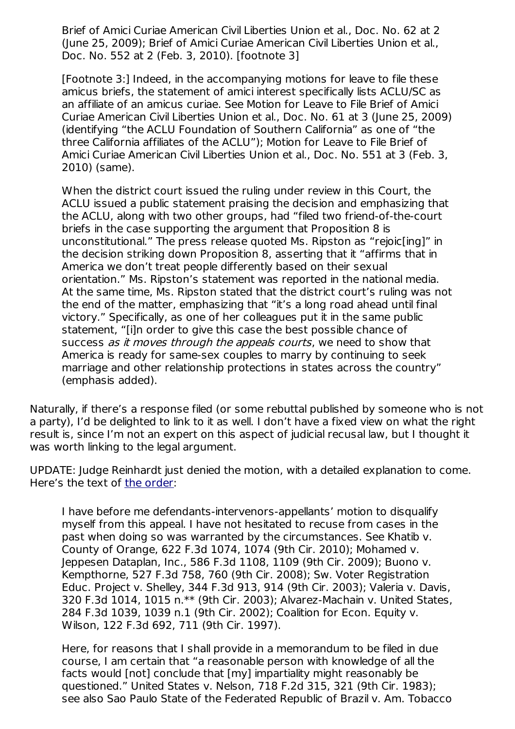Brief of Amici Curiae American Civil Liberties Union et al., Doc. No. 62 at 2 (June 25, 2009); Brief of Amici Curiae American Civil Liberties Union et al., Doc. No. 552 at 2 (Feb. 3, 2010). [footnote 3]

[Footnote 3:] Indeed, in the accompanying motions for leave to file these amicus briefs, the statement of amici interest specifically lists ACLU/SC as an affiliate of an amicus curiae. See Motion for Leave to File Brief of Amici Curiae American Civil Liberties Union et al., Doc. No. 61 at 3 (June 25, 2009) (identifying "the ACLU Foundation of Southern California" as one of "the three California affiliates of the ACLU"); Motion for Leave to File Brief of Amici Curiae American Civil Liberties Union et al., Doc. No. 551 at 3 (Feb. 3, 2010) (same).

When the district court issued the ruling under review in this Court, the ACLU issued a public statement praising the decision and emphasizing that the ACLU, along with two other groups, had "filed two friend-of-the-court briefs in the case supporting the argument that Proposition 8 is unconstitutional." The press release quoted Ms. Ripston as "rejoic[ing]" in the decision striking down Proposition 8, asserting that it "affirms that in America we don't treat people differently based on their sexual orientation." Ms. Ripston's statement was reported in the national media. At the same time, Ms. Ripston stated that the district court's ruling was not the end of the matter, emphasizing that "it's a long road ahead until final victory." Specifically, as one of her colleagues put it in the same public statement, "[i]n order to give this case the best possible chance of success as it moves through the appeals courts, we need to show that America is ready for same-sex couples to marry by continuing to seek marriage and other relationship protections in states across the country" (emphasis added).

Naturally, if there's a response filed (or some rebuttal published by someone who is not a party), I'd be delighted to link to it as well. I don't have a fixed view on what the right result is, since I'm not an expert on this aspect of judicial recusal law, but I thought it was worth linking to the legal argument.

UPDATE: Judge Reinhardt just denied the motion, with a detailed explanation to come. Here's the text of the [order](http://howappealing.law.com/Prop8DisqualficationDenied.pdf):

I have before me defendants-intervenors-appellants' motion to disqualify myself from this appeal. I have not hesitated to recuse from cases in the past when doing so was warranted by the circumstances. See Khatib v. County of Orange, 622 F.3d 1074, 1074 (9th Cir. 2010); Mohamed v. Jeppesen Dataplan, Inc., 586 F.3d 1108, 1109 (9th Cir. 2009); Buono v. Kempthorne, 527 F.3d 758, 760 (9th Cir. 2008); Sw. Voter Registration Educ. Project v. Shelley, 344 F.3d 913, 914 (9th Cir. 2003); Valeria v. Davis, 320 F.3d 1014, 1015 n.\*\* (9th Cir. 2003); Alvarez-Machain v. United States, 284 F.3d 1039, 1039 n.1 (9th Cir. 2002); Coalition for Econ. Equity v. Wilson, 122 F.3d 692, 711 (9th Cir. 1997).

Here, for reasons that I shall provide in a memorandum to be filed in due course, I am certain that "a reasonable person with knowledge of all the facts would [not] conclude that [my] impartiality might reasonably be questioned." United States v. Nelson, 718 F.2d 315, 321 (9th Cir. 1983); see also Sao Paulo State of the Federated Republic of Brazil v. Am. Tobacco